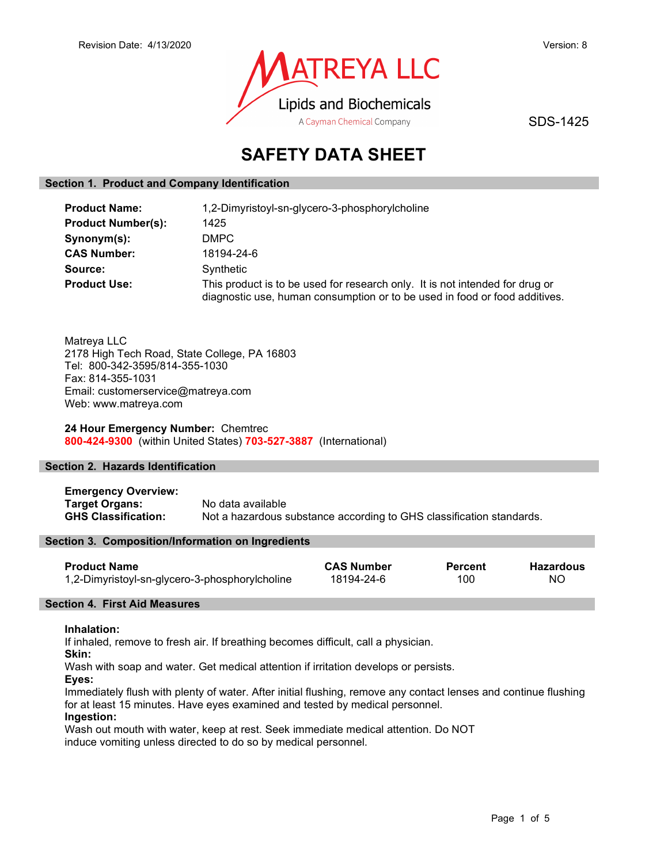

SDS-1425

# SAFETY DATA SHEET

### Section 1. Product and Company Identification

| <b>Product Name:</b>      | 1,2-Dimyristoyl-sn-glycero-3-phosphorylcholine                                                                                                             |
|---------------------------|------------------------------------------------------------------------------------------------------------------------------------------------------------|
| <b>Product Number(s):</b> | 1425                                                                                                                                                       |
| Synonym(s):               | DMPC                                                                                                                                                       |
| <b>CAS Number:</b>        | 18194-24-6                                                                                                                                                 |
| Source:                   | Synthetic                                                                                                                                                  |
| <b>Product Use:</b>       | This product is to be used for research only. It is not intended for drug or<br>diagnostic use, human consumption or to be used in food or food additives. |

Matreya LLC 2178 High Tech Road, State College, PA 16803 Tel: 800-342-3595/814-355-1030 Fax: 814-355-1031 Email: customerservice@matreya.com Web: www.matreya.com

24 Hour Emergency Number: Chemtrec 800-424-9300 (within United States) 703-527-3887 (International)

### Section 2. Hazards Identification

Emergency Overview: Target Organs: No data available GHS Classification: Not a hazardous substance according to GHS classification standards.

### Section 3. Composition/Information on Ingredients

| <b>Product Name</b>                            | <b>CAS Number</b> | <b>Percent</b> | Hazardous |
|------------------------------------------------|-------------------|----------------|-----------|
| 1,2-Dimyristoyl-sn-glycero-3-phosphorylcholine | 18194-24-6        | 100            | NC.       |

### Section 4. First Aid Measures

### Inhalation:

If inhaled, remove to fresh air. If breathing becomes difficult, call a physician.

Skin:

Wash with soap and water. Get medical attention if irritation develops or persists.

Eyes:

Immediately flush with plenty of water. After initial flushing, remove any contact lenses and continue flushing for at least 15 minutes. Have eyes examined and tested by medical personnel.

# Ingestion:

Wash out mouth with water, keep at rest. Seek immediate medical attention. Do NOT induce vomiting unless directed to do so by medical personnel.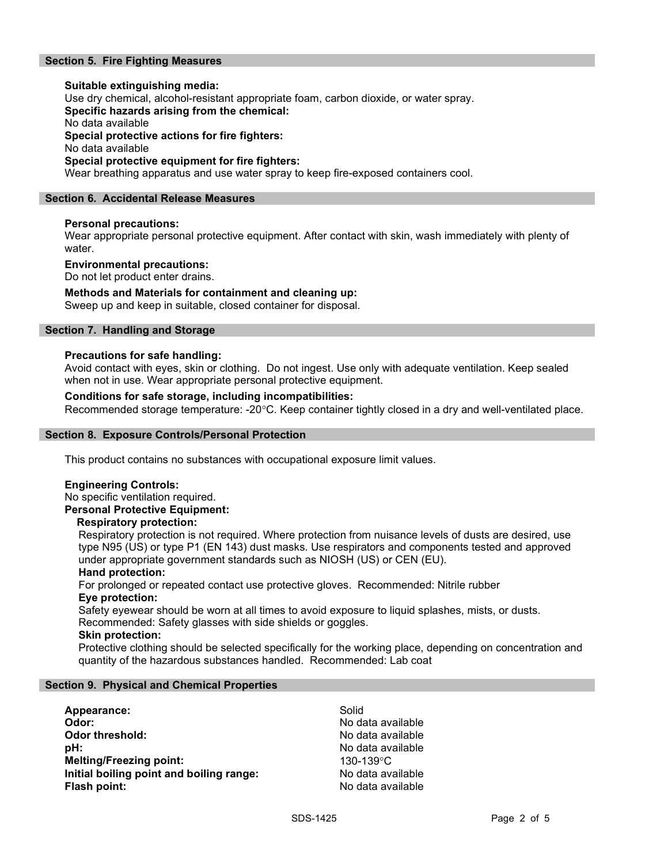### Section 5. Fire Fighting Measures

### Suitable extinguishing media: Use dry chemical, alcohol-resistant appropriate foam, carbon dioxide, or water spray. Specific hazards arising from the chemical: No data available Special protective actions for fire fighters: No data available Special protective equipment for fire fighters:

Wear breathing apparatus and use water spray to keep fire-exposed containers cool.

### Section 6. Accidental Release Measures

### Personal precautions:

Wear appropriate personal protective equipment. After contact with skin, wash immediately with plenty of water.

### Environmental precautions:

Do not let product enter drains.

### Methods and Materials for containment and cleaning up:

Sweep up and keep in suitable, closed container for disposal.

### Section 7. Handling and Storage

### Precautions for safe handling:

Avoid contact with eyes, skin or clothing. Do not ingest. Use only with adequate ventilation. Keep sealed when not in use. Wear appropriate personal protective equipment.

### Conditions for safe storage, including incompatibilities:

Recommended storage temperature: -20°C. Keep container tightly closed in a dry and well-ventilated place.

### Section 8. Exposure Controls/Personal Protection

This product contains no substances with occupational exposure limit values.

### Engineering Controls:

No specific ventilation required. Personal Protective Equipment:

### Respiratory protection:

Respiratory protection is not required. Where protection from nuisance levels of dusts are desired, use type N95 (US) or type P1 (EN 143) dust masks. Use respirators and components tested and approved under appropriate government standards such as NIOSH (US) or CEN (EU).

### Hand protection:

For prolonged or repeated contact use protective gloves. Recommended: Nitrile rubber Eye protection:

Safety eyewear should be worn at all times to avoid exposure to liquid splashes, mists, or dusts. Recommended: Safety glasses with side shields or goggles.

### Skin protection:

Protective clothing should be selected specifically for the working place, depending on concentration and quantity of the hazardous substances handled. Recommended: Lab coat

### Section 9. Physical and Chemical Properties

Appearance: Solid Odor: No data available **Odor threshold:** No data available **pH:**  $\blacksquare$ Melting/Freezing point: 130-139°C Initial boiling point and boiling range: No data available Flash point: No data available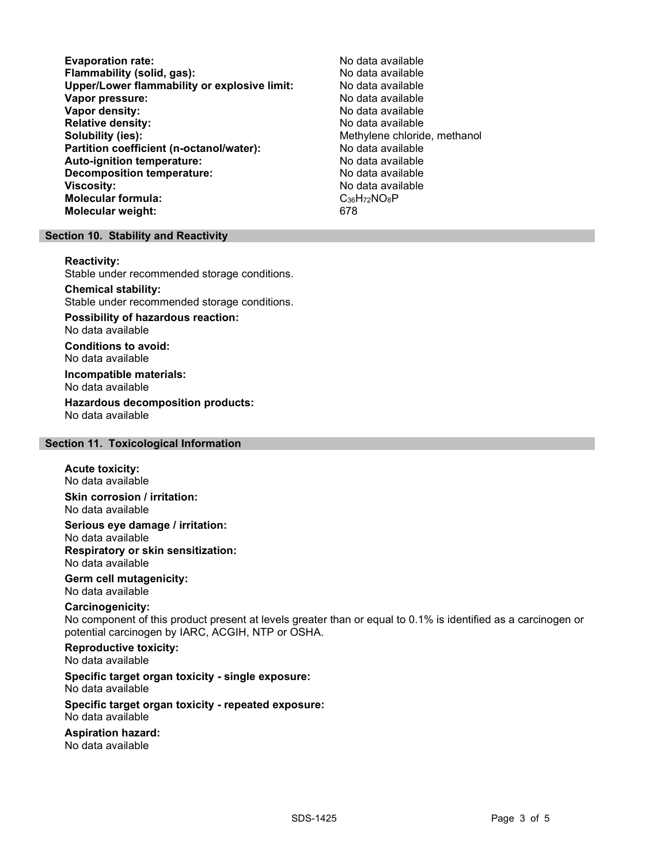Evaporation rate:<br>
Flammability (solid. gas): No data available Flammability (solid, gas):<br>
Upper/Lower flammability or explosive limit: No data available Upper/Lower flammability or explosive limit: Vapor pressure:  $\blacksquare$ Vapor density: No data available Relative density:<br>
Solubility (ies):<br>
Solubility (ies):<br>
Nethylene chlorid Partition coefficient (n-octanol/water): No data available Auto-ignition temperature: No data available Decomposition temperature: No data available Viscosity: No data available Molecular formula: C<sub>36</sub>H<sub>72</sub>NO<sub>8</sub>P Molecular weight: 678

Methylene chloride, methanol

### Section 10. Stability and Reactivity

#### Reactivity:

Stable under recommended storage conditions.

### Chemical stability:

Stable under recommended storage conditions.

# Possibility of hazardous reaction:

No data available

Conditions to avoid: No data available

#### Incompatible materials: No data available

Hazardous decomposition products: No data available

### Section 11. Toxicological Information

#### Acute toxicity: No data available

Skin corrosion / irritation: No data available

Serious eye damage / irritation: No data available Respiratory or skin sensitization: No data available

### Germ cell mutagenicity: No data available

### Carcinogenicity:

No component of this product present at levels greater than or equal to 0.1% is identified as a carcinogen or potential carcinogen by IARC, ACGIH, NTP or OSHA.

# Reproductive toxicity:

No data available

# Specific target organ toxicity - single exposure:

No data available

#### Specific target organ toxicity - repeated exposure: No data available

### Aspiration hazard:

No data available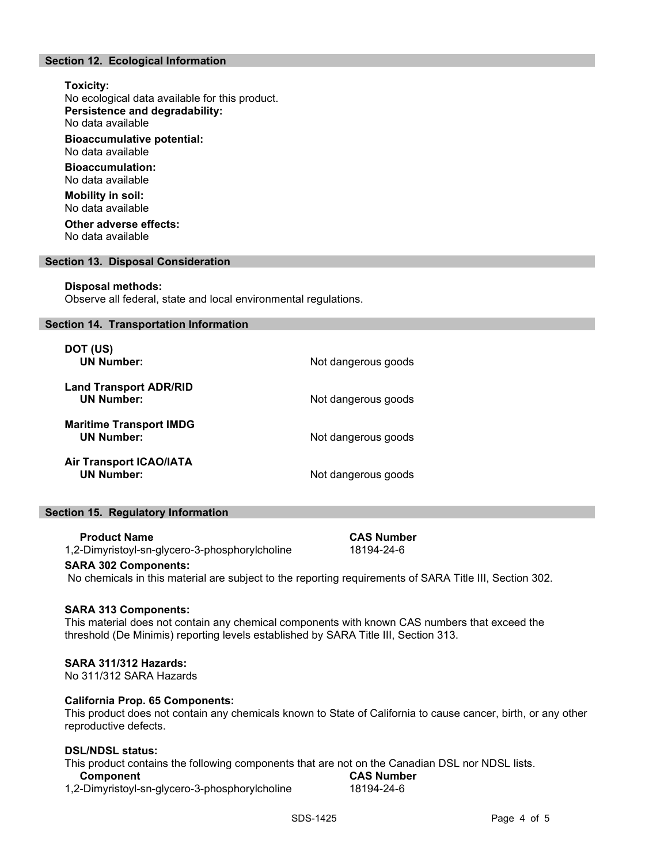### Section 12. Ecological Information

### Toxicity:

No ecological data available for this product. Persistence and degradability: No data available

Bioaccumulative potential: No data available

Bioaccumulation: No data available

Mobility in soil: No data available

Other adverse effects: No data available

### Section 13. Disposal Consideration

### Disposal methods:

Observe all federal, state and local environmental regulations.

#### Section 14. Transportation Information

| DOT (US)<br><b>UN Number:</b>                       | Not dangerous goods |
|-----------------------------------------------------|---------------------|
| <b>Land Transport ADR/RID</b><br><b>UN Number:</b>  | Not dangerous goods |
| <b>Maritime Transport IMDG</b><br><b>UN Number:</b> | Not dangerous goods |
| <b>Air Transport ICAO/IATA</b><br><b>UN Number:</b> | Not dangerous goods |

### Section 15. Regulatory Information

#### Product Name CAS Number

1,2-Dimyristoyl-sn-glycero-3-phosphorylcholine 18194-24-6

# SARA 302 Components:

No chemicals in this material are subject to the reporting requirements of SARA Title III, Section 302.

### SARA 313 Components:

This material does not contain any chemical components with known CAS numbers that exceed the threshold (De Minimis) reporting levels established by SARA Title III, Section 313.

### SARA 311/312 Hazards:

No 311/312 SARA Hazards

### California Prop. 65 Components:

This product does not contain any chemicals known to State of California to cause cancer, birth, or any other reproductive defects.

### DSL/NDSL status:

This product contains the following components that are not on the Canadian DSL nor NDSL lists.

### Component CAS Number

1,2-Dimyristoyl-sn-glycero-3-phosphorylcholine 18194-24-6